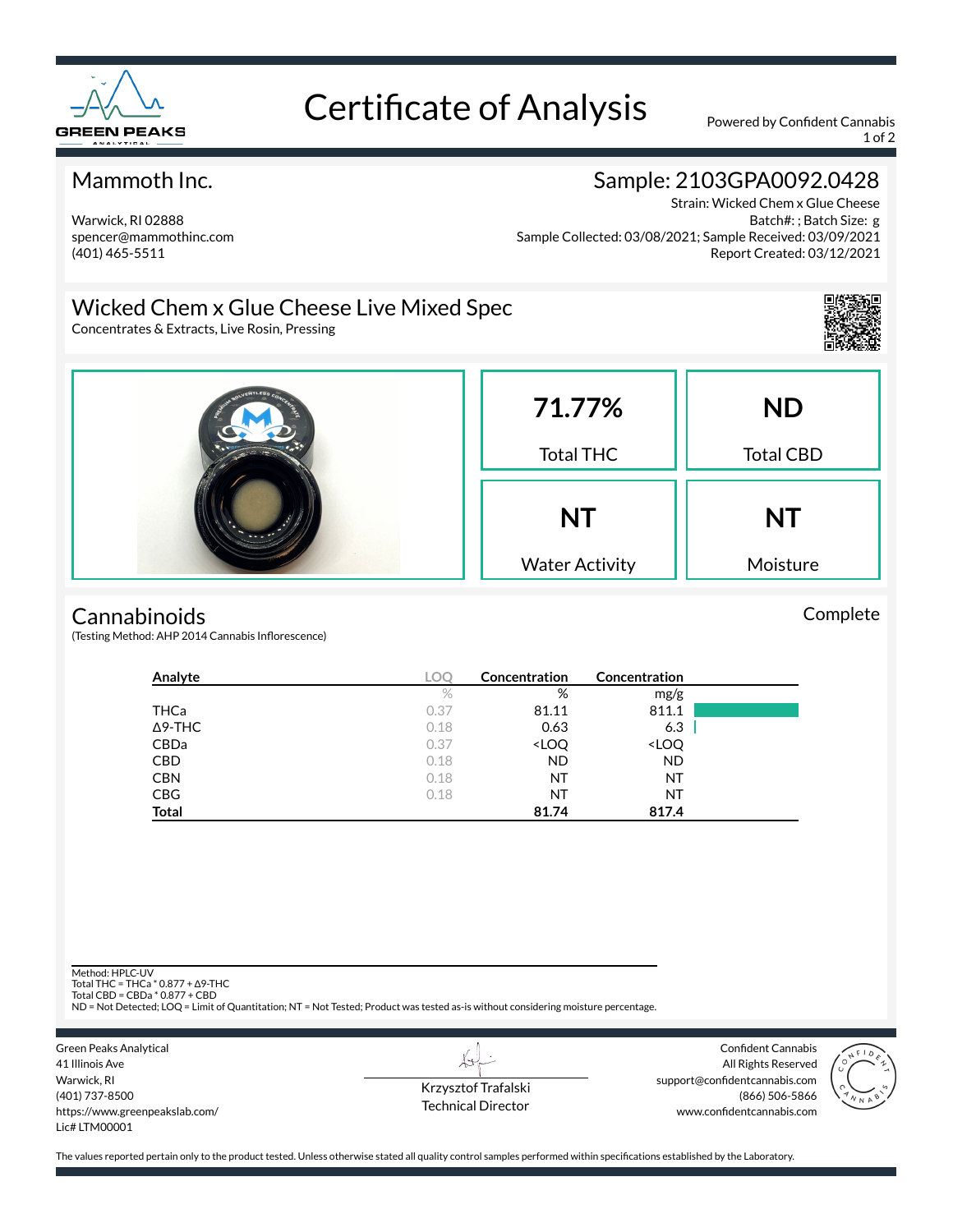

# Certificate of Analysis Powered by Confident Cannabis

1 of 2

#### Mammoth Inc.

#### Warwick, RI 02888 spencer@mammothinc.com (401) 465-5511

## Sample: 2103GPA0092.0428

Strain: Wicked Chem x Glue Cheese Batch#: ; Batch Size: g Sample Collected: 03/08/2021; Sample Received: 03/09/2021 Report Created: 03/12/2021

### Wicked Chem x Glue Cheese Live Mixed Spec

Concentrates & Extracts, Live Rosin, Pressing



Complete



#### **Cannabinoids**

(Testing Method: AHP 2014 Cannabis Inflorescence)

| Analyte        | <b>LOC</b> | Concentration                                            | Concentration                |  |
|----------------|------------|----------------------------------------------------------|------------------------------|--|
|                | $\%$       | %                                                        | mg/g                         |  |
| <b>THCa</b>    | 0.37       | 81.11                                                    | 811.1                        |  |
| $\Delta$ 9-THC | 0.18       | 0.63                                                     | 6.3                          |  |
| CBDa           | 0.37       | <loq< td=""><td><loq< td=""><td></td></loq<></td></loq<> | <loq< td=""><td></td></loq<> |  |
| <b>CBD</b>     | 0.18       | <b>ND</b>                                                | <b>ND</b>                    |  |
| <b>CBN</b>     | 0.18       | NT                                                       | NT                           |  |
| <b>CBG</b>     | 0.18       | NT                                                       | NT                           |  |
| <b>Total</b>   |            | 81.74                                                    | 817.4                        |  |

Method: HPLC-UV

Total THC = THCa \* 0.877 + ∆9-THC Total CBD = CBDa \* 0.877 + CBD

ND = Not Detected; LOQ = Limit of Quantitation; NT = Not Tested; Product was tested as-is without considering moisture percentage.



Krzysztof Trafalski Technical Director

 $\overline{\lambda}$ 

Confident Cannabis All Rights Reserved support@confidentcannabis.com (866) 506-5866 www.confidentcannabis.com



The values reported pertain only to the product tested. Unless otherwise stated all quality control samples performed within specifications established by the Laboratory.